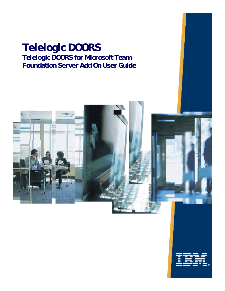### **Telelogic DOORS Telelogic DOORS for Microsoft Team Foundation Server Add On User Guide**



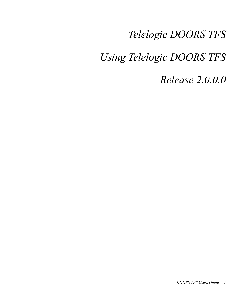## *Telelogic DOORS TFS*

## *Using Telelogic DOORS TFS*

*Release 2.0.0.0*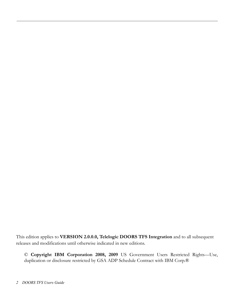This edition applies to **VERSION 2.0.0.0, Telelogic DOORS TFS Integration** and to all subsequent releases and modifications until otherwise indicated in new editions.

© **Copyright IBM Corporation 2008, 2009** US Government Users Restricted Rights—Use, duplication or disclosure restricted by GSA ADP Schedule Contract with IBM Corp.®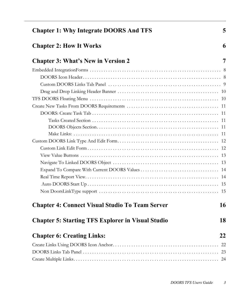| <b>Chapter 1: Why Integrate DOORS And TFS</b>            | 5  |
|----------------------------------------------------------|----|
| <b>Chapter 2: How It Works</b>                           | 6  |
| <b>Chapter 3: What's New in Version 2</b>                | 7  |
|                                                          |    |
|                                                          |    |
|                                                          |    |
|                                                          |    |
|                                                          |    |
|                                                          |    |
|                                                          |    |
|                                                          |    |
|                                                          |    |
|                                                          |    |
|                                                          |    |
|                                                          |    |
|                                                          |    |
|                                                          |    |
|                                                          |    |
|                                                          |    |
|                                                          |    |
|                                                          |    |
| <b>Chapter 4: Connect Visual Studio To Team Server</b>   | 16 |
| <b>Chapter 5: Starting TFS Explorer in Visual Studio</b> | 18 |
| <b>Chapter 6: Creating Links:</b>                        | 22 |
|                                                          | 22 |
|                                                          | 23 |
|                                                          | 24 |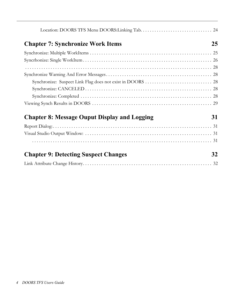| <b>Chapter 7: Synchronize Work Items</b>            | 25 |
|-----------------------------------------------------|----|
|                                                     |    |
|                                                     |    |
|                                                     |    |
|                                                     |    |
|                                                     |    |
|                                                     |    |
|                                                     |    |
|                                                     |    |
| <b>Chapter 8: Message Ouput Display and Logging</b> | 31 |
|                                                     |    |
|                                                     |    |
|                                                     |    |
| <b>Chapter 9: Detecting Suspect Changes</b>         | 32 |
|                                                     |    |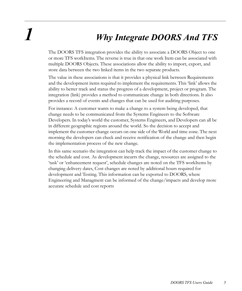## *1 Why Integrate DOORS And TFS*

The DOORS TFS integration provides the ability to associate a DOORS Object to one or more TFS workItems. The reverse is true in that one work Item can be associated with multiple DOORS Objects. These associations allow the ability to import, export, and store data between the two linked items in the two separate products.

The value in these associations is that it provides a physical link between Requirements and the development items required to implement the requirements. This 'link' allows the ability to better track and status the progress of a development, project or program. The integration (link) provides a method to communicate change in both directions. It also provides a record of events and changes that can be used for auditing purposes.

For instance: A customer wants to make a change to a system being developed, that change needs to be communicated from the Systems Engineers to the Software Developers. In today's world the customer, Systems Engineers, and Developers can all be in different geographic regions around the world. So the decision to accept and implement the customer change occurs on one side of the World and time zone. The next morning the developers can check and receive notification of the change and then begin the implementation process of the new change.

In this same scenario the integration can help track the impact of the customer change to the schedule and cost. As development incurrs the change, resources are assigned to the 'task' or 'enhancement request', schedule changes are noted on the TFS workItems by changing delivery dates, Cost changes are noted by additional hours required for development and Testing. This information can be exported to DOORS, where Engineering and Managment can be informed of the change/impacts and develop more accurate schedule and cost reports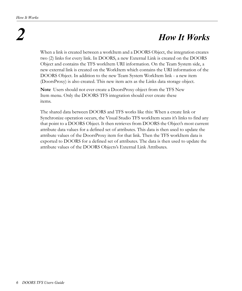# *2 How It Works*

When a link is created between a workItem and a DOORS Object, the integration creates two (2) links for every link. In DOORS, a new External Link is created on the DOORS Object and contains the TFS workItem URI information. On the Team System side, a new external link is created on the WorkItem which contains the URI information of the DOORS Object. In addition to the new Team System WorkItem link - a new item (DoorsProxy) is also created. This new item acts as the Links data storage object.

**Note** Users should not ever create a DoorsProxy object from the TFS New Item menu. Only the DOORS TFS integration should ever create these items.

The shared data between DOORS and TFS works like this: When a create link or Synchronize operation occurs, the Visual Studio TFS workItem scans it's links to find any that point to a DOORS Object. It then retrieves from DOORS the Object's most current attribute data values for a defined set of attributes. This data is then used to update the attribute values of the DoorsProxy item for that link. Then the TFS workItem data is exported to DOORS for a defined set of attributes. The data is then used to update the attribute values of the DOORS Objects's External Link Attributes.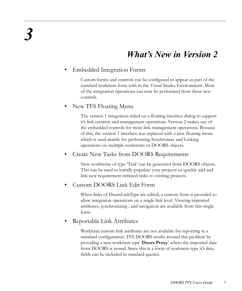### *What's New in Version 2*

### <span id="page-7-0"></span>• Embedded Integration Forms

Custom forms and controls can be configured to appear as part of the standard workitem form with in the Visual Studio Environment. Most of the integration operations can now be performed from these new controls.

### • New TFS Floating Menu

The version 1 integration relied on a floating interface dialog to support it's link creation and management operations. Version 2 makes use of the embedded controls for most link management operations. Because of this, the version 1 interface was replaced with a new floating menu which is used mainly for performing Synchronize and Linking operations on multiple workitems or DOORS objects.

### • Create New Tasks from DOORS Requirements

New workitems of type 'Task' can be generated from DOORS objects. This can be used to initially populate your projects or quickly add and link new requirement initiated tasks to existing projects.

### • Custom DOORS Link Edit Form

When links of DoorsLinkType are edited, a custom form is provided to allow integraton operations on a single link level. Viewing imported attributes, synchronizing , and navigation are available from this single form.

### • Reportable Link Attributes

Workitem custom link attributes are not available for reporting in a standard configuration. TFS DOORS works around this problem by providing a new workitem type '**Doors Proxy**' where the imported data from DOORS is stored. Since this is a form of workitem type it's data fields can be included in standard queries.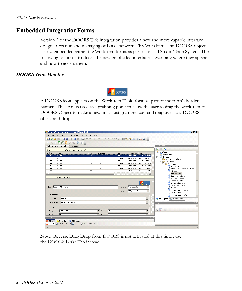### <span id="page-8-0"></span>**Embedded IntegrationForms**

Version 2 of the DOORS TFS integration provides a new and more capable interface design. Creation and managing of Links between TFS WorkItems and DOORS objects is now embedded within the WorkItem forms as part of Visual Studio Team System. The following section introduces the new embbeded interfaces describing where they appear and how to access them.

### <span id="page-8-1"></span>*DOORS Icon Header*



A DOORS icon appears on the WorkItem **Task** form as part of the form's header banner. This icon is used as a grabbing point to allow the user to drag the workItem to a DOORS Object to make a new link. Just grab the icon and drag over to a DOORS object and drop.

|                  |                                     |                      | Mg All Work Items [Results] - Microsoft Visual Studio       |                        |          |                        |          |                      |                            |                                          |                       | $-10X$                                         |
|------------------|-------------------------------------|----------------------|-------------------------------------------------------------|------------------------|----------|------------------------|----------|----------------------|----------------------------|------------------------------------------|-----------------------|------------------------------------------------|
| File             |                                     |                      | Edit View Build Team Tools Test Window                      |                        | Help     |                        |          |                      |                            |                                          |                       |                                                |
| H                |                                     |                      |                                                             |                        |          |                        |          |                      |                            |                                          |                       |                                                |
|                  |                                     |                      | BHIRECASBE.                                                 |                        |          |                        |          |                      |                            |                                          |                       |                                                |
|                  | All Work Items [Results] Start Page |                      |                                                             |                        |          |                        |          |                      |                            |                                          | $\mathbf{v} \times$   | $-4x$<br>Feam Explorer                         |
|                  |                                     |                      |                                                             |                        |          |                        |          |                      |                            |                                          |                       | $\sqrt{3}$<br>$\bullet$ $\times$               |
|                  |                                     |                      | Query Results: 207 results found (1 currently selected).    |                        |          |                        |          |                      |                            |                                          |                       | and qls.tfsmadeeasy.com                        |
| $\sqrt{2}$ Rev   | 15                                  | Area Path<br>drstest |                                                             | $\mathcal{L}_{\rm{c}}$ | ID<br>31 | Work Item Type<br>Task |          | State                | Assigned To                | Title                                    |                       | My Favorites                                   |
|                  | 8                                   | drstest              |                                                             |                        | 32       | Task                   |          | Proposed<br>Proposed | John Norris<br>John Norris | Setup: Set Permisi<br>Setup: Migration c |                       | drstest<br>ė-                                  |
|                  | 13                                  | drstest              |                                                             |                        | 33       | Task                   |          | Proposed             | John Norris                | Setup: Migration c                       |                       | Work Item Templates                            |
|                  | 13                                  | drstest              |                                                             |                        | 34       | Task                   |          | Proposed             | John Norris                | Setup: Set Check-                        |                       | - Work Items                                   |
|                  | 17                                  | drstest              |                                                             |                        | 35       | Task                   |          | Proposed             | John Norris                | Setup: Send mail t                       |                       | <b>E-</b> Team Queries                         |
|                  | 13                                  | drstest              |                                                             |                        | 36       | Task                   |          | Proposed             | <b>John Norris</b>         | Setup: Create Prc                        |                       | <b>Active Bugs</b>                             |
|                  | 23                                  | drstest              |                                                             |                        | 37       | Task                   |          |                      | John Norris                | Create Vision Stat -                     |                       | <b>Example 1 My Team Project Work Items</b>    |
|                  |                                     |                      |                                                             |                        |          |                        |          | Active               |                            |                                          |                       | <b>Link All Tasks</b>                          |
| $\left  \right $ |                                     |                      |                                                             |                        |          |                        |          |                      |                            |                                          | $\blacktriangleright$ | an All Work Items<br><b>Blocked Work Items</b> |
|                  | Task 31 : Setup: Set Permissions    |                      |                                                             |                        |          |                        |          |                      |                            |                                          |                       | Change Requests                                |
|                  |                                     |                      |                                                             |                        |          |                        |          |                      |                            |                                          |                       | Corrective Actions                             |
|                  |                                     |                      |                                                             |                        |          |                        |          |                      |                            |                                          |                       | <b>Link</b> Customer Requirements              |
|                  |                                     |                      |                                                             |                        |          |                        |          |                      |                            | <b>DOORS</b>                             |                       | Development Tasks                              |
|                  | Title: Setup: Set Permissions       |                      |                                                             |                        |          |                        |          | Discipline:          | User Education             |                                          |                       | <b>Ligh</b> Issues                             |
|                  |                                     |                      |                                                             |                        |          |                        |          |                      |                            |                                          |                       | <b>Ext</b> Mitigation Action Status            |
|                  |                                     |                      |                                                             |                        |          |                        |          | Type:                | Mitigation Action          | $\blacksquare$                           |                       | <b>In My Work Items</b>                        |
|                  | Classification                      |                      |                                                             |                        |          |                        |          |                      |                            |                                          |                       | <b>En Product Requirements</b>                 |
|                  |                                     | drstest              |                                                             |                        |          |                        |          |                      |                            |                                          |                       |                                                |
|                  | Area path:                          |                      |                                                             |                        |          |                        |          |                      |                            | $\overline{ }$                           |                       | Team Explorer Day Solution Explorer            |
|                  | Iteration path: drstest\Iteration 0 |                      |                                                             |                        |          |                        |          |                      |                            | ▼                                        |                       | $-4 \times$<br><b>Properties</b>               |
|                  | <b>Status</b>                       |                      |                                                             |                        |          |                        |          |                      |                            |                                          |                       |                                                |
|                  |                                     |                      |                                                             |                        |          |                        |          |                      |                            |                                          |                       | $3121 =$                                       |
|                  | Assigned to:                        | John Norris          |                                                             |                        |          | Blocked: No            |          |                      |                            | ⊻                                        |                       |                                                |
|                  | Prinrihur                           |                      |                                                             |                        |          | $\mathbf{r}$<br>Shahar | Pronosed |                      |                            |                                          |                       |                                                |
| Error List       |                                     |                      |                                                             |                        |          |                        |          |                      |                            |                                          | $-4x$                 |                                                |
|                  | <b>3</b> 0 Errors                   |                      | 0 Warnings (i) 0 Messages                                   |                        |          |                        |          |                      |                            |                                          |                       |                                                |
|                  |                                     |                      | Error List De Command Window 3 Output 2 Find Symbol Results |                        |          |                        |          |                      |                            |                                          |                       |                                                |
| Ready            |                                     |                      |                                                             |                        |          |                        |          |                      |                            |                                          |                       |                                                |

**Note** Reverse Drag Drop from DOORS is not activated at this time., use the DOORS Links Tab instead.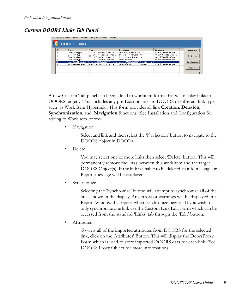### <span id="page-9-0"></span>*Custom DOORS Links Tab Panel*

|          | <b>DOORS LINKS</b><br>Description   History   Links | Attachments   Details    |                               |                       |             |
|----------|-----------------------------------------------------|--------------------------|-------------------------------|-----------------------|-------------|
|          | <b>DOORS Links</b>                                  |                          |                               |                       |             |
| ID       | Type                                                | Title                    | <b>Description</b>            | Comments              | Navigate    |
| $\Omega$ | DoorsLinkTvpe                                       | ID: LIC1_Module: Novembe | new use case text 2:51        | vstfs:///WorkItemTrac |             |
|          | DoorsLinkTvpe                                       | TD: LICS_Module: Novembe | this is a test for section1   | vstfs:///WorkItemTrac |             |
| 2        | DoorsLinkTvpe                                       | TD: LICZ_Module: Novembe | this is an inserted section.  | vstfs:///WorkItemTrac | Attributes  |
| з        | DoorsLinkTvpe                                       | TD: LIC11 Module: Novemb | insert at pos 4               | vstfs:///WorkItemTrac |             |
| 14       | Workitem Hyperlink                                  | doors://JOHN3:36679/?ver | doors://JOHN3:36679/?version= |                       | Synchronize |
| 5        | Workitem Hyperlink                                  | doors://JOHN3:36679/?ver | doors://JOHN3:36679/?version= | vstfs:///WorkItemTrac |             |
|          |                                                     |                          |                               |                       | Delete      |
|          |                                                     |                          |                               |                       |             |

A new Custom Tab panel can been added to workitem forms that will display links to DOORS targets. This includes any pre-Existing links to DOORS of different link types such as Work Item Hyperlink.. This form provides all link **Creation**, **Deletion**, **Synchronization**, and **Navigation** functions. (See Installation and Configuration for adding to WorkItem Forms.

• Navigation

Select and link and then select the 'Navigation' button to navigate to the DOORS object in DOORs.

• Delete

You may select one or more links then select 'Delete' button. This will permanently remove the links between this workItem and the target DOORS Object(s). If the link is unable to be deleted an info message or Report message will be dsiplayed.

**Syncrhonize** 

Selecting the 'Synchronize' button will attempt to synchronize all of the links shown in the display. Any errors or warnings will be displayed in a Report Window that opens when synchronize begins.. If you wish to only synchronize one link use the Custom Link Edit Form which can be accessed from the standard 'Links' tab through the 'Edit' button.

• Attributes

To view all of the imported attributes from DOORS for the selected link, click on the 'Attributes' Button. This will display the DoorsProxy Form which is used to store imported DOORS data for each link. (See DOORS Proxy Object for more information)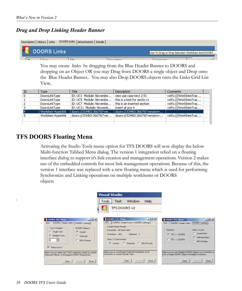### <span id="page-10-0"></span>*Drag and Drop Linking Header Banner*

| Description   History   Links   DOORS Links   Attachments   Details |             |                                                |
|---------------------------------------------------------------------|-------------|------------------------------------------------|
| <b>DOORS Links</b>                                                  |             |                                                |
|                                                                     |             | Use To Drag or Drop between WorkItem And DOORS |
| $\mathbf{r}$                                                        | $T^*$ iklar |                                                |

You may create links by dragging from the Blue Header Banner to DOORS and dropping on an Object OR you may Drag from DOORS a single object and Drop onto the Blue Header Banner.. You may also Drop DOORS objects onto the Links Grid List View..

| ID | <b>Type</b>        | Title                    | <b>Description</b>            | Comments              |  |
|----|--------------------|--------------------------|-------------------------------|-----------------------|--|
| 0  | DoorsLinkType      | ID: UC1 Module: Novembe  | new use case text 2:51        | vstfs:///WorkItemTrac |  |
|    | DoorsLinkType      | ID: UC5 Module: Novembe  | this is a test for sectio n1  | vstfs:///WorkItemTrac |  |
|    | DoorsLinkType      | ID: UC7 Module: Novembe  | this is an inserted section.  | vstfs:///WorkItemTrac |  |
|    | DoorsLinkType      | ID: UC11 Module: Novemb  | insert at pos 4               | vstfs:///WorkItemTrac |  |
| i4 | Workitem Hyperlink | doors://JOHN3:36679/?ver | doors://JOHN3:36679/?version= |                       |  |
|    | Workitem Hyperlink | doors://JOHN3:36679/?ver | doors://JOHN3:36679/?version= | vstfs:///WorkItemTrac |  |
|    |                    |                          |                               |                       |  |
|    |                    |                          |                               |                       |  |

### <span id="page-10-1"></span>**TFS DOORS Floating Menu**

Activating the Studio Tools menu option for TFS DOORS will now display the below Multi-function Tabbed Menu dialog. The version 1 integration relied on a floating interface dialog to support it's link creation and management operations. Version 2 makes use of the embedded controls for most link management operations. Because of this, the version 1 interface was replaced with a new floating menu which is used for performing Synchronize and Linking operations on multiple workitems or DOORS objects

|                                                                                                                                                                                                                                              | <b>Visual Studio</b>                                                                                                                                                                                                                                            |                                                                                                                                                                                                                                                      |
|----------------------------------------------------------------------------------------------------------------------------------------------------------------------------------------------------------------------------------------------|-----------------------------------------------------------------------------------------------------------------------------------------------------------------------------------------------------------------------------------------------------------------|------------------------------------------------------------------------------------------------------------------------------------------------------------------------------------------------------------------------------------------------------|
|                                                                                                                                                                                                                                              | Window<br>Help<br>Test<br>Tools                                                                                                                                                                                                                                 |                                                                                                                                                                                                                                                      |
|                                                                                                                                                                                                                                              | TFS DOORS v2<br>÷                                                                                                                                                                                                                                               |                                                                                                                                                                                                                                                      |
| DOORS TFS Menu<br>DOORS: Create Tasks   DOORS: Linking  <br><b>TFS</b><br><b>Tasks Created</b><br>DOORS Objects<br>C Single Task<br>C Current<br>$\sigma$<br>Multiple Tasks<br>C Selected<br>÷<br>  4<br>All In Display<br>1∽<br>Make Links? | $-10x$<br><b>C</b> DOORS TFS Menu<br><b>TFS</b><br>DOORS: Create Tasks   DOORS: Linking  <br>Current Query Results<br>Document: All Work Items<br>Selected: 1<br>WorkItems: 422<br>Items To Synchronize<br>C All In Results<br>Current C Selected<br>$\epsilon$ | $-10X$<br><b>E DOORS TFS Menu</b><br>DOORS: Create Tasks DOORS: Linking<br><b>TFS</b><br>Items To Link<br><b>Direction</b><br>C Current Item<br>$G$ TFS $\leftarrow$ DODRS<br>σ<br>Selected Items<br>$C$ TFS $\rightarrow$ DOORS<br>C All In Display |
| Allows you to create new TASK workItems based on current<br>Selected, Filtered, or Displayed DOORS Requirement                                                                                                                               | Allows you to synchronize Selected WorkItems or All<br>WorkItems in current Results View                                                                                                                                                                        | Allows you to Link Multiple DOORS Objects to a WorkItem or<br>Link a Single DODRS Object to Multiple WorkItems                                                                                                                                       |
| Close<br>Start<br>Cancel                                                                                                                                                                                                                     | Close<br>Start<br>Cancel                                                                                                                                                                                                                                        | Cancel<br>Close<br>Start                                                                                                                                                                                                                             |

.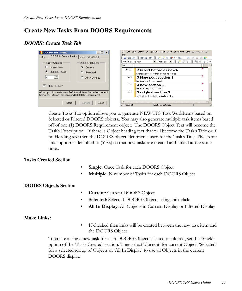### **Create New Tasks From DOORS Requirements**

### <span id="page-11-0"></span>*DOORS: Create Task Tab*

| <b>DOORS TFS Menu</b>                                    | $\Box$ $\Box$ $\times$ | File<br>Edit<br>Help | View Insert Link Analysis Table Tools Discussions User QFrame_T50 TFS                       |
|----------------------------------------------------------|------------------------|----------------------|---------------------------------------------------------------------------------------------|
| DOORS: Create Tasks<br><b>TFS</b>                        | DOORS: Linking         | dia.                 | 嗶<br>→ 「半星」→<br>$\bullet$ $\bullet$ $\bullet$ $\bullet$ $\bullet$<br>理理<br><b>EXTRA: ED</b> |
| Tasks Created                                            | DOORS Objects          | View Standard view   | <b>Fill of Second Second</b><br>上品品系<br>$\blacksquare$ All levels $\blacksquare$            |
| Single Task                                              | Æ.<br>Current          |                      |                                                                                             |
| G<br>Multiple Tasks                                      | Selected               | UC11                 | 2 insert before as new4                                                                     |
|                                                          |                        |                      | insert at pos 4 - Added some new text                                                       |
| 4                                                        | All In Display         | UC5                  | 3 New post section 1                                                                        |
|                                                          |                        |                      | this is a test for sectio n1                                                                |
| ⊽<br>Make Links?                                         |                        | UC7                  | 4 new section 2                                                                             |
|                                                          |                        |                      | this is an inserted section.                                                                |
| Allows you to create new TASK workItems based on current |                        | UC6                  | 5 original section 2                                                                        |
| Selected, Filtered, or Displayed DOORS Requirement       |                        |                      | fjaldfad jfka jfask jfask jfas jfalksfjsafas                                                |
|                                                          |                        |                      |                                                                                             |
| Start                                                    | Cancel<br>Close        |                      |                                                                                             |
|                                                          |                        | Username: john       | Exclusive edit mode                                                                         |

Create Tasks Tab option allows you to generate NEW TFS Task WorkItems based on Selected or Filtered DOORS objects.. You may also generate multiple task items based off of one (1) DOORS Requirement object. The DOORS Object Text will become the Task's Description. If there is Object heading text that will become the Task's Title or if no Heading text then the DOORS object identifier is used for the Task's Title. The create links option is defaulted to (YES) so that new tasks are created and linked at the same time..

#### <span id="page-11-1"></span>**Tasks Created Section**

- **Single:** Once Task for each DOORS Object
- **Multiple**: N number of Tasks for each DOORS Object

#### <span id="page-11-2"></span>**DOORS Objects Section**

- **Current**: Current DOORS Object
- **Selected**: Selected DOORS Objects using shift-click:
- **All In Display**: All Objects in Current Display or Filtered Display

#### **Make Links:**

If checked then links will be created between the new task item and the DOORS Object

To create a single new task for each DOORS Object selected or filtered, set the 'Single' option of the 'Tasks Created' section. Then select 'Current' for current Object, 'Selected' for a selected group of Objects or 'All In Display' to use all Objects in the current DOORS display.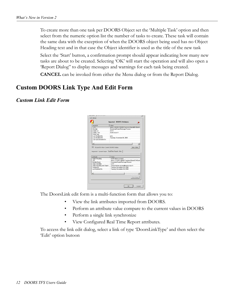To create more than one task per DOORS Object set the 'Multiple Task' option and then select from the numeric option list the number of tasks to create. These task will contain the same data with the exception of when the DOORS object being used has no Object Heading text and in that case the Object identifier is used as the title of the new task

Select the 'Start' button, a confirmation prompt should appear indicating how many new tasks are about to be created. Selecting 'OK' will start the operation and will also open a 'Report Dialog" to display messages and warnings for each task being created.

**CANCEL** can be invoked from either the Menu dialog or from the Report Dialog.

### <span id="page-12-0"></span>**Custom DOORS Link Type And Edit Form**

### <span id="page-12-1"></span>*Custom Link Edit Form*

| SERAM.                                                                                                                                                                               | War                                           |
|--------------------------------------------------------------------------------------------------------------------------------------------------------------------------------------|-----------------------------------------------|
| LINE.                                                                                                                                                                                | door: ///01/8/2 36/20/?westony/SenadD (Okama) |
| Module                                                                                                                                                                               | NovemberProjectPackage Process                |
| <b>Chiect Id</b>                                                                                                                                                                     | <b>UC11</b>                                   |
| Object Text                                                                                                                                                                          | A social administration                       |
| <b>Short Text</b>                                                                                                                                                                    |                                               |
| Last Modified By                                                                                                                                                                     | jdnn.                                         |
| Last Modiled Do                                                                                                                                                                      | Tuesday, November 04, 2003                    |
| Lest Sensiteonized On-                                                                                                                                                               |                                               |
|                                                                                                                                                                                      |                                               |
| ×I.                                                                                                                                                                                  | $\overline{\phantom{a}}$                      |
|                                                                                                                                                                                      |                                               |
|                                                                                                                                                                                      |                                               |
| - Finand to View Current DOOR Scholars                                                                                                                                               | <b>New Exker</b>                              |
|                                                                                                                                                                                      |                                               |
|                                                                                                                                                                                      |                                               |
|                                                                                                                                                                                      |                                               |
| Imported: Current Kalue Real Time Report View                                                                                                                                        |                                               |
|                                                                                                                                                                                      |                                               |
|                                                                                                                                                                                      | <b>Value</b>                                  |
|                                                                                                                                                                                      | Pennet Rendered Borrow                        |
|                                                                                                                                                                                      | doem / 0 DHN3 38890/ hverson=21prod D=01um    |
|                                                                                                                                                                                      | NovemberProjectPackage Process                |
|                                                                                                                                                                                      | UCTI                                          |
|                                                                                                                                                                                      | 2 inpert before as nevellinged at pop 6       |
|                                                                                                                                                                                      | Tuesday, Nevenber DJ, 2008                    |
|                                                                                                                                                                                      | Tuesday Neverder 04, 2006                     |
|                                                                                                                                                                                      |                                               |
| <b>Altribude</b><br><b>Chech Heading</b><br>LIRL<br><b>Module Name</b><br><b>Clairct I dentifier</b><br><b>Chiect Heading and Chiect</b><br>Casated On:<br>Last Modified Div<br>XII. | $\mathbf{r}$                                  |
|                                                                                                                                                                                      |                                               |
|                                                                                                                                                                                      | Vew Veue.                                     |

The DoorsLink edit form is a multi-function form that allows you to:

- View the link attributes imported from DOORS.
- Perform an attribute value compare to the current values in DOORS
- Perform a single link synchronize
- View Configured Real Time Report attributes.

To access the link edit dialog, select a link of type 'DoorsLinkType' and then select the 'Edit' option butoon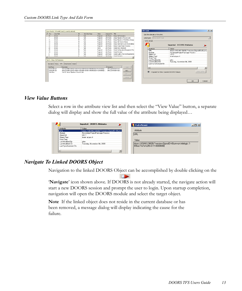|                        |                                                                 |                                                    | Query Results: 119 results found (1 currently selected).                                                                                                                                                                                                      |                                       |                                                         |                                                                                       |                                                                                                                                                        | <b>Edit Link</b>                                                                                                                                                                                                      | ? X                     |
|------------------------|-----------------------------------------------------------------|----------------------------------------------------|---------------------------------------------------------------------------------------------------------------------------------------------------------------------------------------------------------------------------------------------------------------|---------------------------------------|---------------------------------------------------------|---------------------------------------------------------------------------------------|--------------------------------------------------------------------------------------------------------------------------------------------------------|-----------------------------------------------------------------------------------------------------------------------------------------------------------------------------------------------------------------------|-------------------------|
|                        | $I$ Rev<br>15                                                   | Area Path<br>drstest<br>drotect                    | $\triangle$ ID<br>31<br>32                                                                                                                                                                                                                                    | Work Item Type<br>Task<br>Task        | State<br>Proposed<br>Proposed                           | Assigned To Title<br>John Norris<br>John Norris                                       | Setup: Set Permissions<br>Setup: Migration of Source Code                                                                                              | Edit the details of this link.<br>Link type: DoorsLinkType                                                                                                                                                            | $\overline{\mathbf{v}}$ |
|                        | 11<br>10<br>12                                                  | drstest<br>drstest<br>drstest<br>drstest           | 33<br>34<br>$\mathbf{\overline{35}}$<br>36                                                                                                                                                                                                                    | Task<br>Task<br>Task<br>Task          | Proposed<br>Proposed<br>Proposed<br>Proposed            | John Norris<br><b>John Norris</b><br>John Norris<br>John Norris                       | Setup: Migration of Work Items change<br>Setup: Set Check-in Policies<br>Setup: Send mail to users for installation<br>Setup: Create Project Structure | Link details<br>Imported: DOORS Attributes                                                                                                                                                                            |                         |
| $\left  \cdot \right $ | 20<br>22<br>10                                                  | drstest<br>drstest<br>drstest<br>drstest<br>drehed | 37<br>38<br>39<br>40<br>41                                                                                                                                                                                                                                    | Task<br>Task<br>Task<br>Task<br>Tack. | Active<br>Proposed<br>Proposed<br>Proposed<br>Pronoced. | <b>John Norris</b><br>John Norris<br>John Norris<br><b>John Norris</b><br>John Morris | Create Vision Statement<br>Create Configuration Management Plan<br>Create Personas<br>Create Quality of Service Requirements<br>Create Scenarios       | Value<br><b>Attribute</b><br>doors://JOHN3:36690/?version=2&prodID=0&urn=<br>URL<br>Module<br>NovemberProjectPackage Process<br>Object Id<br><b>HC11</b><br><b>Object Text</b><br>insert at pos 4                     |                         |
|                        | Link Type<br>DoorsLinkType<br><b>DoorsLinkType</b><br>Work Item | Task 31 : Setup: Set Permissions                   | Description History Links Attachments Details<br>Description<br>doors://30HN3:36690/?version=28prodID=08wiew=000000028urn=um:telelogic<br>doors://30HN3:36690/?version=28prodID=08view=000000028urn=urn:telelogic<br>Task 32: Setup: Migration of Source Code |                                       |                                                         | Comments                                                                              | Ореп<br>vstfs:///WorkItemTracki<br>vstfs:///WorkItemTracki<br>Add                                                                                      | Short Text<br>iohn.<br>Last Modified Bv<br>Tuesday, November 04, 2008<br>Last Modified On<br>Last Synchronized On<br>$\blacktriangleright$<br>$\blacksquare$<br>View Value<br>+ - Expand to View Current DOORS Values |                         |
|                        |                                                                 |                                                    |                                                                                                                                                                                                                                                               |                                       |                                                         |                                                                                       | Edit<br>Delete:                                                                                                                                        | $\cap K$<br>Cancel                                                                                                                                                                                                    |                         |

#### <span id="page-13-0"></span>*View Value Buttons*

Select a row in the attribute view list and then select the "View Value" button, a separate dialog will display and show the full value of the attribute being displayed…

| Attribute            | Value                                       |                                                             |
|----------------------|---------------------------------------------|-------------------------------------------------------------|
| <b>URL</b>           | doors://JOHN3:36690/?version=2&prodID=0&um= | Attribute                                                   |
| Module               | NovemberProjectPackage Process              |                                                             |
| Object Id            | <b>UC11</b>                                 | <b>JURL</b>                                                 |
| Object Text          | insert at pos 4                             |                                                             |
| Short Text           |                                             | Value                                                       |
| Last Modified Bv     | john                                        |                                                             |
| Last Modified On     | Tuesday, November 04, 2008                  | doors://JOHN3:36690/?version=2&prodID=0&um=um:telelogic::1- |
| Last Synchronized On |                                             | 496ac77e7a1d2ffb-0-11-00000080                              |
|                      |                                             |                                                             |

### <span id="page-13-1"></span>*Navigate To Linked DOORS Object*

Navigation to the linked DOORS Object can be accomplished by double clicking on the

'**Navigate**' icon shown above. If DOORS is not already started, the navigate action will start a new DOORS session and prompt the user to login. Upon startup completion, navigation will open the DOORS module and select the target object.

**Note** If the linked object does not reside in the current database or has been removed, a message dialog will display indicating the cause for the failure.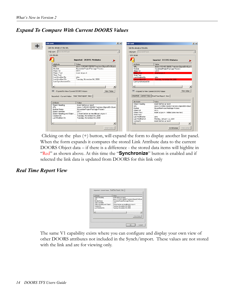<span id="page-14-0"></span>*Expand To Compare With Current DOORS Values*

|                                                                                        |                                             | Edit the details of this link. |                                                                                             |
|----------------------------------------------------------------------------------------|---------------------------------------------|--------------------------------|---------------------------------------------------------------------------------------------|
| Link type: DoorsLinkType                                                               | $\overline{\phantom{m}}$                    | Link type: DoorsLinkType       |                                                                                             |
| Link details                                                                           |                                             | $=$ Link details.              |                                                                                             |
|                                                                                        | Imported: DOORS Attributes                  |                                | <b>Imported: DOORS Attributes</b>                                                           |
| Attribute                                                                              | Value                                       | Attribute                      | Value                                                                                       |
| <b>LIBL</b>                                                                            | doors://J0HN3:36690/?version=2&prodID=0&um= | <b>URL</b>                     | doors://JOHN3:36690/?version=2&prodID=0&urn=                                                |
| Module                                                                                 | NovemberProjectPackage Process              | Module                         | NovemberProjectPackage Process                                                              |
| Object Id                                                                              | <b>UC11</b>                                 | Object Id                      | <b>UC11</b>                                                                                 |
| Object Text                                                                            | insert at pos 4                             | Object Text                    | insert at pos 4                                                                             |
| Short Text                                                                             |                                             | Short Text                     |                                                                                             |
| Last Modified By                                                                       | iohn                                        | Last Modified Bv               | john.                                                                                       |
| Last Modified On                                                                       | Tuesday, November 04, 2008                  | Last Modified On               | Tuesday, November 04, 2008                                                                  |
| Last Synchronized On                                                                   |                                             | Last Synchronized On           |                                                                                             |
| $\left  \cdot \right $                                                                 | $\blacktriangleright$                       | $\left  \right $               |                                                                                             |
| - Expand to View Current DOORS Values<br>Imported: Current Value Real Time Report View | View Value                                  |                                | - Expand to View Current DOORS Values<br>Imported: Current Value   Real Time Report View    |
|                                                                                        |                                             | <b>Attribute</b>               | Value                                                                                       |
| Attribute                                                                              | Value                                       | Object Heading                 | insert before as new4                                                                       |
| Object Heading                                                                         | insert before as new4                       | LIRL.                          |                                                                                             |
| <b>TIBL</b>                                                                            | doors://JOHN3:36690/?version=2&prodID=0&um  | Module                         | View Value<br>doors://JOHN3:36690/?version=28prodID=08urr<br>NovemberProtectPackage Process |
| Module Name                                                                            | NovemberProjectPackage Process              | Object Id                      | UC11                                                                                        |
| Object Identifier                                                                      | UC11                                        | Object Text                    | insert at pos 4 - Added some new text                                                       |
| Object Heading and Object                                                              | 2 insert before as new4tinsert at pos 4     | Short Text                     |                                                                                             |
| Created On                                                                             | Tuesday, November 04, 2008                  | Last Modified By               | iohn                                                                                        |
| Last Modified On                                                                       | Tuesday, November 04, 2008                  | Last Modified On               | Monday, January 12, 2009                                                                    |
|                                                                                        |                                             | Comment                        | insert before as new4                                                                       |

Clicking on the plus (+) button, will expand the form to display another list panel. When the form expands it compares the stored Link Attribute data to the current DOORS Object data – if there is a difference - the stored data items will highlite in "Red" as shown above. At this time the "**Synchronize**" button is enabled and if selected the link data is updated from DOORS for this link only

### <span id="page-14-1"></span>*Real Time Report View*

| <b>Altrix de</b>                 | Value                                   |
|----------------------------------|-----------------------------------------|
| <b>Object Heading</b>            | involt belong as need.                  |
| URL                              | does://(0HN):9890/'lvanion=2lprodD=0Lun |
| Module Name                      | NovemberProjectPackage Process          |
| <b>Cherct I dentifier</b>        | UCT1                                    |
| <b>Chiect Heading and Chiect</b> | 2 invest below as nevellinged at pop 6  |
| Casated On:                      | Tuesday, Nevenber DJ, 2008.             |
| Last Modified Dn                 | Tuesday, Nevenber 04, 2008              |
| мH                               | 픠                                       |
|                                  |                                         |
|                                  | View Value                              |
|                                  |                                         |
|                                  |                                         |

The same V1 capability exists where you can configure and display your own view of other DOORS attributes not included in the Synch/import. These values are not stored with the link and are for viewing only.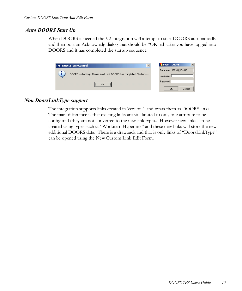### *Auto DOORS Start Up*

When DOORS is needed the V2 integration will attempt to start DOORS automatically and then post an Acknowledg dialog that should be "OK"ed after you have logged into DOORS and it has completed the startup sequence..

| $\boldsymbol{\mathsf{x}}$<br><b>TFS DOORS LinkControl</b>         | $\vert x \vert$<br>Login - DOORS |
|-------------------------------------------------------------------|----------------------------------|
|                                                                   | Database: 36690@JOHN3            |
| DOORS is starting - Please Wait until DOORS has completed Startup | Username:                        |
|                                                                   | Password:                        |
|                                                                   | Cancel<br>OK                     |

### <span id="page-15-0"></span>*Non DoorsLinkType support*

The integration supports links created in Version 1 and treats them as DOORS links.. The main difference is that existing links are still limited to only one attribute to be configured (they are not converted to the new link type).. However new links can be created using types such as "Workitem Hyperlink" and these new links will store the new additional DOORS data. There is a drawback and that is only links of "DoorsLinkType" can be opened using the New Custom Link Edit Form.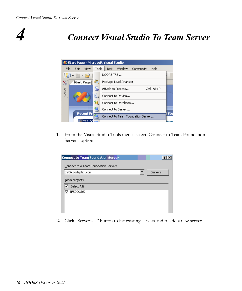### *4 Connect Visual Studio To Team Server*



**1.** From the Visual Studio Tools menus select 'Connect to Team Foundation Server..' option

| <b>Connect to Team Foundation Server</b> |         |
|------------------------------------------|---------|
| Connect to a Team Foundation Server:     |         |
| tfs06.codeplex.com                       | Servers |
| Team projects:                           |         |
| $\overline{\mathbf{v}}$ (Select All)     |         |
| <b>TFSDOORS</b>                          |         |
|                                          |         |
|                                          |         |
|                                          |         |

**2.** Click "Servers…" button to list existing servers and to add a new server.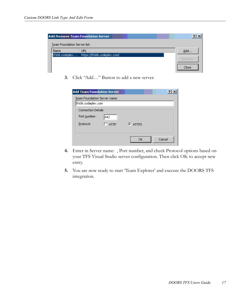|                              | <b>Add/Remove Team Foundation Server</b> |        |
|------------------------------|------------------------------------------|--------|
| Team Foundation Server list: |                                          |        |
| Name                         | URL                                      | Add    |
| tfs06.codeplex               | https://tfs06.codeplex.com/              |        |
|                              |                                          | Remove |
|                              |                                          | Close  |

**3.** Click "Add…" Button to add a new server.

| <b>Add Team Foundation Server</b> |          |           |        |
|-----------------------------------|----------|-----------|--------|
| Team Foundation Server name:      |          |           |        |
| tfs06.codeplex.com                |          |           |        |
| <b>Connection Details</b>         |          |           |        |
| Port number:                      | 443      |           |        |
| Protocol:                         | $C$ HTTP | $F$ HTTPS |        |
|                                   |          |           |        |
|                                   |          | ОK        | Cancel |

- **4.** Enter in Server name: , Port number, and check Protocol options based on your TFS Visual Studio server configuration. Then click OK to accept new entry.
- **5.** You are now ready to start 'Team Explorer' and execute the DOORS TFS integration.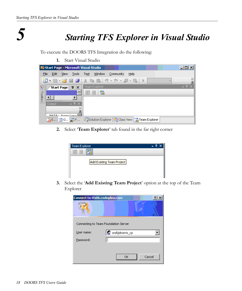

### *5 Starting TFS Explorer in Visual Studio*

To execute the DOORS TFS Integration do the following:

**1.** Start Visual Studio



**2.** Select '**Team Explorer**' tab found in the far right corner

| Team Explorer             |  |
|---------------------------|--|
| 中 ×                       |  |
| Add Existing Team Project |  |
|                           |  |

**3.** Select the '**Add Existing Team Project**' option at the top of the Team Explorer

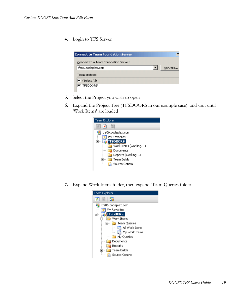**4.** Login to TFS Server

| <b>Connect to Team Foundation Server</b> | ?       |
|------------------------------------------|---------|
| Connect to a Team Foundation Server:     |         |
| tfs06.codeplex.com                       | Servers |
| Team projects:                           |         |
| $ \nabla$ (Select All)                   |         |
| <b>TFSDOORS</b>                          |         |
|                                          |         |

- **5.** Select the Project you wish to open
- **6.** Expand the Project Tree (TFSDOORS in our example case) and wait until 'Work Items' are loaded



**7.** Expand Work Items folder, then expand 'Team Queries folder

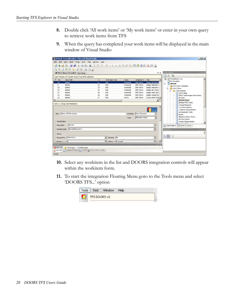- **8.** Double click 'All work items' or 'My work items' or enter in your own query to retrieve work items from TFS
- **9.** When the query has completed your work items will be displayed in the main window of Visual Studio

|               |                  | Ca All Work Items [Results] - Microsoft Visual Studio    |  |                                                         |                                                                                                                                                                                                                                                                                                                                                                                                                                                                                                                 |          |             |                    |                          |                  | $  D $ $\times$                                                                        |
|---------------|------------------|----------------------------------------------------------|--|---------------------------------------------------------|-----------------------------------------------------------------------------------------------------------------------------------------------------------------------------------------------------------------------------------------------------------------------------------------------------------------------------------------------------------------------------------------------------------------------------------------------------------------------------------------------------------------|----------|-------------|--------------------|--------------------------|------------------|----------------------------------------------------------------------------------------|
| File          |                  |                                                          |  | Edit View Build Team Tools Test Window                  | Help                                                                                                                                                                                                                                                                                                                                                                                                                                                                                                            |          |             |                    |                          |                  |                                                                                        |
| 囿             |                  |                                                          |  |                                                         | $\begin{array}{lll} \bullet \text{ of } \mathfrak{B} \text{ is the } \mathfrak{S} \text{ is the } \mathfrak{S} \text{ is the } \mathfrak{S} \text{ is the } \mathfrak{S} \text{ is the } \mathfrak{S} \text{ is the } \mathfrak{S} \text{ is the } \mathfrak{S} \text{ is the } \mathfrak{S} \text{ is the } \mathfrak{S} \text{ is the } \mathfrak{S} \text{ is the } \mathfrak{S} \text{ is the } \mathfrak{S} \text{ is the } \mathfrak{S} \text{ is the } \mathfrak{S} \text{ is the } \mathfrak{S} \text{$ |          |             |                    |                          |                  |                                                                                        |
|               |                  | BEICRECASE.                                              |  |                                                         |                                                                                                                                                                                                                                                                                                                                                                                                                                                                                                                 |          |             |                    |                          |                  |                                                                                        |
|               |                  | All Work Items [Results] Start Page                      |  |                                                         |                                                                                                                                                                                                                                                                                                                                                                                                                                                                                                                 |          |             |                    |                          | $\star$ $\times$ | Team Explorer<br>$-4x$                                                                 |
|               |                  | Query Results: 207 results found (1 currently selected). |  |                                                         |                                                                                                                                                                                                                                                                                                                                                                                                                                                                                                                 |          |             |                    |                          |                  | $\bullet$ $\blacksquare$ $\blacksquare$                                                |
| $\sqrt{}$ Rev |                  | Area Path                                                |  | △ ID                                                    | Work Item Type                                                                                                                                                                                                                                                                                                                                                                                                                                                                                                  |          | State       | Assigned To        | Title                    |                  | 40 qls.tfsmadeeasy.com<br>My Favorites                                                 |
|               | 15               | drstest                                                  |  | 31                                                      | Task                                                                                                                                                                                                                                                                                                                                                                                                                                                                                                            |          | Proposed    | John Norris        | Setup: Set Permis        |                  | drstest<br>Ėŀ<br>區                                                                     |
|               | 8.               | drstest                                                  |  | 32                                                      | Task                                                                                                                                                                                                                                                                                                                                                                                                                                                                                                            |          | Proposed    | <b>John Norris</b> | Setup: Migration c       |                  | Work Item Templates                                                                    |
|               | 13               | distest                                                  |  | 33                                                      | Task                                                                                                                                                                                                                                                                                                                                                                                                                                                                                                            |          | Proposed    | John Norris        | Setup: Migration c       |                  | 向- Dir Work Items                                                                      |
|               | 13               | drstest                                                  |  | 34                                                      | Task                                                                                                                                                                                                                                                                                                                                                                                                                                                                                                            |          | Proposed    | John Norris        | Setup: Set Check-        |                  | <b>E-</b> Team Queries                                                                 |
|               | 17               | drstest                                                  |  | 35                                                      | Task                                                                                                                                                                                                                                                                                                                                                                                                                                                                                                            |          | Proposed    | <b>John Norris</b> | Setup: Send mail t       |                  | Active Bugs                                                                            |
|               | 13               | drstest                                                  |  | 36                                                      | Task                                                                                                                                                                                                                                                                                                                                                                                                                                                                                                            |          | Proposed    | John Norris        | Setup: Create Prc        |                  | <b>En All My Team Project Work Items</b>                                               |
|               | 23               | drstest                                                  |  | 37                                                      | Task                                                                                                                                                                                                                                                                                                                                                                                                                                                                                                            |          | Active      | <b>John Norris</b> | Create Vision Stat -     |                  | <b>In All Tasks</b>                                                                    |
|               |                  |                                                          |  |                                                         |                                                                                                                                                                                                                                                                                                                                                                                                                                                                                                                 |          |             |                    |                          | $\mathbf{F}$     | All Work Items                                                                         |
|               |                  | Task 31 : Setup: Set Permissions                         |  |                                                         |                                                                                                                                                                                                                                                                                                                                                                                                                                                                                                                 |          |             |                    |                          |                  | <b>Blocked Work Items</b><br><b>End</b> Change Requests                                |
|               |                  |                                                          |  |                                                         |                                                                                                                                                                                                                                                                                                                                                                                                                                                                                                                 |          |             |                    | <b>DOORS</b>             |                  | <b>En Corrective Actions</b><br><b>Ligh</b> Customer Requirements<br>Development Tasks |
|               |                  | Title: Setup: Set Permissions                            |  |                                                         |                                                                                                                                                                                                                                                                                                                                                                                                                                                                                                                 |          | Discipline: | User Education     |                          |                  | <b>In Issues</b>                                                                       |
|               |                  |                                                          |  |                                                         |                                                                                                                                                                                                                                                                                                                                                                                                                                                                                                                 |          | Type:       | Mitigation Action  | $\overline{\phantom{a}}$ |                  | <b>Th</b> Mitigation Action Status<br>My Work Items                                    |
|               | Classification   |                                                          |  |                                                         |                                                                                                                                                                                                                                                                                                                                                                                                                                                                                                                 |          |             |                    |                          |                  | <b>Big</b> Product Requirements                                                        |
|               | Area path:       | drstest                                                  |  |                                                         |                                                                                                                                                                                                                                                                                                                                                                                                                                                                                                                 |          |             |                    | $\overline{ }$           |                  | <b>Construction</b><br>Team Explorer <b>Dy</b> Solution Explorer                       |
|               |                  | Iteration path: drstest\Iteration 0                      |  |                                                         |                                                                                                                                                                                                                                                                                                                                                                                                                                                                                                                 |          |             |                    | ▼                        |                  | $-4x$<br><b>Properties</b>                                                             |
|               | Status           |                                                          |  |                                                         |                                                                                                                                                                                                                                                                                                                                                                                                                                                                                                                 |          |             |                    |                          |                  |                                                                                        |
|               | Assigned to:     | John Norris                                              |  |                                                         | Blocked: No<br>$\blacktriangledown$                                                                                                                                                                                                                                                                                                                                                                                                                                                                             |          |             |                    | $\blacksquare$           |                  | <b>SH211</b>                                                                           |
|               | <b>Prinritur</b> | la.                                                      |  |                                                         | $\overline{\phantom{a}}$ Sate:                                                                                                                                                                                                                                                                                                                                                                                                                                                                                  | Proposed |             |                    | ≂                        |                  |                                                                                        |
| Error List    |                  |                                                          |  |                                                         |                                                                                                                                                                                                                                                                                                                                                                                                                                                                                                                 |          |             |                    |                          | $-4x$            |                                                                                        |
|               |                  | O D Errors 0 Warnings (i) 0 Messages                     |  | Error List Tommand Window Goutput & Find Symbol Results |                                                                                                                                                                                                                                                                                                                                                                                                                                                                                                                 |          |             |                    |                          |                  |                                                                                        |
| Ready         |                  |                                                          |  |                                                         |                                                                                                                                                                                                                                                                                                                                                                                                                                                                                                                 |          |             |                    |                          |                  | n,                                                                                     |

- **10.** Select any workitem in the list and DOORS integration controls will appear within the workitem form.
- **11.** To start the integration Floating Menu goto to the Tools menu and select 'DOORS TFS...' option

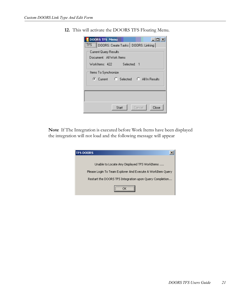**12.** This will activate the DOORS TFS Floating Menu.

| <b>DOORS TFS Menu</b><br>TFS   DOORS: Create Tasks   DOORS: Linking |
|---------------------------------------------------------------------|
| Current Query Results<br>Document: All Work Items                   |
| WorkItems: 422 Selected: 1                                          |
| Items To Synchronize                                                |
| C Current C Selected C All In Results                               |
|                                                                     |
| Close<br>Cancel<br>Start                                            |

**Note** If The Integration is executed before Work Items have been displayed the integration will not load and the following message will appear

| <b>TFS DOORS</b>                                           |
|------------------------------------------------------------|
|                                                            |
| Unable to Locate Any Displayed TFS WorkItems               |
| Please Login To Team Explorer And Execute A WorkItem Query |
| Restart the DOORS TFS Integration upon Query Completion    |
|                                                            |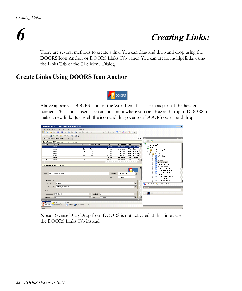### *6 Creating Links:*

<span id="page-22-0"></span>There are several methods to create a link. You can drag and drop and drop using the DOORS Icon Anchor or DOORS Links Tab paner. You can create multipl links using the Links Tab of the TFS Menu Dialog

### <span id="page-22-1"></span>**Create Links Using DOORS Icon Anchor**



Above appears a DOORS icon on the WorkItem Task form as part of the header banner. This icon is used as an anchor point where you can drag and drop to DOORS to make a new link. Just grab the icon and drag over to a DOORS object and drop.

|                        |                                  |           |         |                                     | <b>Ca All Work Items [Results] - Microsoft Visual Studio</b> |                                                            |                      |                             |          |             |                    |                          |                     | $  D $ $\times$                                              |
|------------------------|----------------------------------|-----------|---------|-------------------------------------|--------------------------------------------------------------|------------------------------------------------------------|----------------------|-----------------------------|----------|-------------|--------------------|--------------------------|---------------------|--------------------------------------------------------------|
| File                   |                                  |           |         |                                     |                                                              | Edit View Build Team Tools Test Window                     | Help                 |                             |          |             |                    |                          |                     |                                                              |
|                        |                                  |           |         |                                     |                                                              |                                                            |                      |                             |          |             |                    |                          |                     |                                                              |
|                        |                                  |           |         |                                     |                                                              |                                                            |                      |                             |          |             |                    |                          |                     |                                                              |
|                        |                                  |           |         |                                     |                                                              |                                                            |                      |                             |          |             |                    |                          |                     |                                                              |
|                        |                                  |           |         | All Work Items [Results] Start Page |                                                              |                                                            |                      |                             |          |             |                    |                          | $\mathbf{v} \times$ | <b>Team Explorer</b><br>$-4 \times$                          |
|                        |                                  |           |         |                                     | Query Results: 207 results found (1 currently selected).     |                                                            |                      |                             |          |             |                    |                          |                     | $\frac{1}{2}$<br>×<br>ब                                      |
|                        | $\mathcal{I}$ Rev                | Area Path |         |                                     |                                                              | $\triangle$ ID                                             |                      | Work Item Type              |          | State       | Assigned To        | Title                    |                     | 44<br>gls.tfsmadeeasv.com<br>My Favorites                    |
|                        | 15                               | drstest   |         |                                     |                                                              | 31                                                         |                      | Task                        |          | Proposed    | <b>John Norris</b> | Setup: Set Permis        |                     | <b>n</b> drstest<br>p.                                       |
|                        | 8                                | drstest   |         |                                     |                                                              | 32                                                         |                      | Task                        |          | Proposed    | John Norris        | Setup: Migration c       |                     | Work Item Templates                                          |
|                        | 13                               | drstest   |         |                                     |                                                              | 33                                                         |                      | Task                        |          | Proposed    | John Norris        | Setup: Migration c       |                     | - Work Items                                                 |
|                        | 13                               | drstest   |         |                                     |                                                              | 34                                                         |                      | Task                        |          | Proposed    | John Norris        | Setup: Set Check-        |                     | <b>E-</b> Team Oueries                                       |
|                        | 17                               | drstest   |         |                                     |                                                              | 35                                                         |                      | Task                        |          | Proposed    | John Norris        | Setup: Send mail t       |                     | <b>LET</b> Active Bugs                                       |
|                        | 13                               | drstest   |         |                                     |                                                              | 36                                                         |                      | Task                        |          | Proposed    | <b>John Norris</b> | Setup: Create Prc        |                     | All My Team Project Work Items                               |
|                        | 23                               | drstest   |         |                                     |                                                              | 37                                                         |                      | Task                        |          | Active      | <b>John Norris</b> | Create Vision Stat       |                     | Light All Tasks                                              |
| $\left  \cdot \right $ |                                  |           |         |                                     |                                                              |                                                            |                      |                             |          |             |                    |                          | $\mathbf{E}$        | All Work Items                                               |
|                        | Task 31 : Setup: Set Permissions |           |         |                                     |                                                              |                                                            |                      |                             |          |             |                    |                          |                     | <b>Blocked Work Items</b><br>Change Requests                 |
|                        |                                  |           |         |                                     |                                                              |                                                            |                      |                             |          |             |                    |                          |                     | <b>List</b> Corrective Actions                               |
|                        |                                  |           |         |                                     |                                                              |                                                            |                      |                             |          |             |                    |                          |                     | <b>List</b> Customer Requirements                            |
|                        |                                  |           |         |                                     |                                                              |                                                            |                      |                             |          |             |                    | <b>DOORS</b>             |                     | Development Tasks                                            |
|                        | Title: Setup: Set Permissions    |           |         |                                     |                                                              |                                                            |                      |                             |          | Discipline: | User Education     |                          |                     | <b>In Issues</b>                                             |
|                        |                                  |           |         |                                     |                                                              |                                                            |                      |                             |          | Type:       | Mitigation Action  | $\overline{\phantom{a}}$ |                     | <b>Bar</b><br>Mitigation Action Status                       |
|                        |                                  |           |         |                                     |                                                              |                                                            |                      |                             |          |             |                    |                          |                     | <b>In My Work Items</b>                                      |
|                        | Classification                   |           |         |                                     |                                                              |                                                            |                      |                             |          |             |                    |                          |                     | <b>Froduct Requirements</b>                                  |
|                        | Area path:                       |           | drstest |                                     |                                                              |                                                            |                      |                             |          |             |                    | ≛                        |                     | <b>Brooklynd Print</b><br>Team Explorer 23 Solution Explorer |
|                        |                                  |           |         | Iteration path: drstest\Iteration 0 |                                                              |                                                            |                      |                             |          |             |                    | $\blacktriangledown$     |                     |                                                              |
|                        |                                  |           |         |                                     |                                                              |                                                            |                      |                             |          |             |                    |                          |                     | $-4x$<br>Properties                                          |
|                        | -Status                          |           |         |                                     |                                                              |                                                            |                      |                             |          |             |                    |                          |                     |                                                              |
|                        | Assigned to: John Norris         |           |         |                                     |                                                              |                                                            | $\blacktriangledown$ | Blocked: No                 |          |             |                    | $\overline{\phantom{a}}$ |                     | $3:21 =$                                                     |
|                        |                                  |           |         |                                     |                                                              |                                                            |                      |                             |          |             |                    |                          |                     |                                                              |
|                        | Princibus.                       |           |         |                                     |                                                              |                                                            |                      | $\overline{\bullet}$ State: | Proposed |             |                    |                          |                     |                                                              |
| <b>Error List</b>      |                                  |           |         |                                     |                                                              |                                                            |                      |                             |          |             |                    |                          | $-4x$               |                                                              |
|                        |                                  |           |         |                                     | 0 0 Errors 1 0 Warnings (i) 0 Messages                       |                                                            |                      |                             |          |             |                    |                          |                     |                                                              |
|                        |                                  |           |         |                                     |                                                              | Error List 5 Command Window 3 Output 2 Find Symbol Results |                      |                             |          |             |                    |                          |                     |                                                              |
| Ready                  |                                  |           |         |                                     |                                                              |                                                            |                      |                             |          |             |                    |                          |                     |                                                              |

**Note** Reverse Drag Drop from DOORS is not activated at this time., use the DOORS Links Tab instead.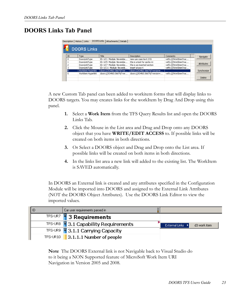### <span id="page-23-0"></span>**DOORS Links Tab Panel**

|    | Description   History   Links<br><b>DOORS Links</b> | DOORS Links<br>Attachments<br>Details |                               |                       |                   |
|----|-----------------------------------------------------|---------------------------------------|-------------------------------|-----------------------|-------------------|
| ID | Type                                                | Title                                 | Description                   | Comments              | Navigate          |
| 0  | DoorsLinkTvpe                                       | ID: UC1_Module: Novembe               | new use case text 2:51        | vstfs:///WorkItemTrac |                   |
|    | DoorsLinkTvpe                                       | ID: LIC5 Module: Novembe              | this is a test for section1   | vstfs:///WorkItemTrac |                   |
| 2  | DoorsLinkTvpe                                       | ID: LIC7 Module: Novembe              | this is an inserted section   | vstfs:///WorkItemTrac | <b>Attributes</b> |
| 3  | DoorsLinkTvpe                                       | ID: LIC11 Module: Novemb              | insert at pos 4               | vstfs:///WorkItemTrac |                   |
| 4  | Workitem Hyperlink                                  | doors://JOHN3:36679/?ver              | doors://JOHN3:36679/?version= |                       | Synchronize       |
| 5  | Workitem Hyperlink                                  | doors://JOHN3:36679/?ver              | doors://JOHN3:36679/?version= | vstfs:///WorkItemTrac |                   |
|    |                                                     |                                       |                               |                       | Delete            |

A new Custom Tab panel can been added to workitem forms that will display links to DOORS targets. You may creates links for the workItem by Drag And Drop using this panel.

- **1.** Select a **Work Item** from the TFS Query Results list and open the DOORS Links Tab.
- **2.** Click the Mouse in the List area and Drag and Drop onto any DOORS object that you have **WRITE/EDIT ACCESS** to. If possible links will be created on both items in both directions.
- **3.** Or Select a DOORS object and Drag and Drop onto the List area. If possible links will be created on both items in both directions.
- **4.** In the links list area a new link will added to the existing list. The WorkItem is SAVED automatically.

In DOORS an External link is created and any attributes specified in the Configuration Module will be imported into DOORS and assigned to the External Link Attributes (NOT the DOORS Object Attributes). Use the DOORS Link Editor to view the imported values.

| Car user requirements parsed in                |                                  |
|------------------------------------------------|----------------------------------|
| TFS-UR7 3 Requirements                         |                                  |
| TFS-UR8 $\sqrt{2}$ 3.1 Capability Requirements | External Links ><br>d3 work item |
| TFS-UR9 3.1.1 Carrying Capacity                |                                  |
| TFS-UR10 $\bigcup$ 3.1.1.1 Number of people    |                                  |

**Note** The DOORS External link is not Navigable back to Visual Studio do to it being a NON Supported feature of MicroSoft Work Item URI Navigation in Version 2005 and 2008.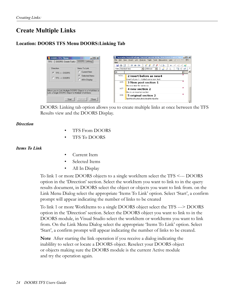### <span id="page-24-0"></span>**Create Multiple Links**

### <span id="page-24-1"></span>**Location: DOORS TFS Menu DOORS:Linking Tab**



DOORS: Linking tab option allows you to create multiple links at once between the TFS Results view and the DOORS Display.

#### *Direction*

- TFS From DOORS
- TFS To DOORS

#### *Items To Link*

- Current Item
- Selected Items
- All In Display

To link 1 or more DOORS objects to a single workItem select the TFS <--- DOORS option in the 'Direction' section. Select the workItem you want to link to in the query results document, in DOORS select the object or objects you want to link from. on the Link Menu Dialog select the appropriate 'Items To Link' option. Select 'Start', a confirm prompt will appear indicating the number of links to be created

To link 1 or more WorkItems to a single DOORS object select the TFS ---> DOORS option in the 'Direction' section. Select the DOORS object you want to link to in the DOORS module, in Visual Studio select the workItem or workItems you want to link from. On the Link Menu Dialog select the appropriate 'Items To Link' option. Select 'Start', a confirm prompt will appear indicating the number of links to be created.

**Note** After starting the link operation if you receive a dialog indicating the inablility to select or locate a DOORS object. Reselect your DOORS object or objects making sure the DOORS module is the current Active module and try the operation again.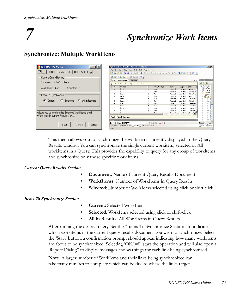### *7 Synchronize Work Items*

### <span id="page-25-0"></span>**Synchronize: Multiple WorkItems**

| <u>니미지</u><br>DOORS TFS Menu                        | Call Work Items [Results] - Microsoft Visual Studio                                                                                                        | <b>LDX</b>                     |
|-----------------------------------------------------|------------------------------------------------------------------------------------------------------------------------------------------------------------|--------------------------------|
| TFS<br>DOORS: Create Tasks   DOORS: Linking         | Build<br>Team Tools Test<br>Window Help<br>File<br>View.                                                                                                   |                                |
| Current Query Results                               | All Work Items [Results] Start Page<br>$\mathbf{v} \times$                                                                                                 | Team Expl + 0 X                |
| Document: All Work Items                            | Query Results: 422 results found (1 currently selected).                                                                                                   | ■■■                            |
| WorkItems: 422<br>Selected: 1                       | $\ell$ Rev<br>$\blacksquare$<br>Work Item Type<br>Area Path<br>Assigned To Title<br>State                                                                  | gls.tfsmadeea =<br>* My Favori |
|                                                     | John Norris<br>Setup: Set <sup>-</sup><br>45<br>drstest<br>31<br>Task<br>Proposed<br>John Norris<br>drstest<br>Setup: Migr<br>13<br>Task<br>32<br>Proposed | Ėŀ<br>drstest<br><b>Work</b>   |
| Items To Synchronize                                | 20<br>drstest<br>33<br>Task<br>John Norris<br>Setup: Migr<br>Proposed<br>disted<br>Task                                                                    | <b>Work</b><br>Ėŀ              |
|                                                     | 20<br>34<br>John Norris<br>Setup: Set<br>Proposed<br>John Norris<br>21<br>disted<br>35<br>Setup: Sen<br>Task<br>Proposed                                   | $B - B$ Te                     |
| C Selected<br>C All In Besults<br>G.<br>Current     | 36<br>John Norris<br>disted<br>Task<br>Setup: Cre<br>17<br>Proposed                                                                                        |                                |
|                                                     | 24<br>37<br>Task<br>John Norris<br>drstest<br>Create Visi<br>Active<br>27<br>38<br>drstest<br>John Norris<br>Task<br>Create Cor<br>Proposed                | aa par                         |
|                                                     | 39<br>John Norris<br>24<br>Task<br>Create Per<br>drstest<br>Proposed                                                                                       |                                |
|                                                     | John Norris<br>40<br>Create Qua_<br>10 <sub>1</sub><br>drstest<br>Task<br>Proposed                                                                         |                                |
| Allows you to synchronize Selected WorkItems or All | 1.1.1<br>$-1$                                                                                                                                              |                                |
| WorkItems in current Results View                   | Task 31 : Setup: Set Permissions                                                                                                                           |                                |
|                                                     | $-4x$<br>Output                                                                                                                                            | i<br>Prime                     |
| Start<br>Cancel<br>Close                            | $-1$ $-1$ $-1$ $-1$<br>Show output from: DOORS TFS<br>Error List   Command Window   2 Output   2 Find Symbol Results                                       | Tea 2350u                      |
|                                                     | Ready                                                                                                                                                      |                                |

This menu allows you to synchronize the workItems currently displayed in the Query Results window. You can synchronize the single current workitem, selected or All workitems in a Query. This provides the capability to query for any qroup of workitems and synchronize only those specific work items

#### *Current Query Results Section*

- **Document:** Name of current Query Results Document
- **WorktItems**: Number of WorkItems in Query Results
- **Selected**: Number of WorkIems selected using click or shift click

#### *Items To Synchronize Section*

- **Current**: Selected WorkItem
- **Selected**: WorkIems selected using click or shift-click
- **All in Results**: All WorkItems in Query Results

After running the desired query, Set the "Items To Synchronize Section" to indicate which workitems in the current query results document you wish to synchronize. Select the 'Start' button, a confirmation prompt should appear indicating how many workitems are about to be synchronized. Selecting 'OK' will start the operation and will also open a 'Report Dialog" to display messages and warnings for each link being synchronized.

**Note** A larger number of WorkIems and their links being synchronized can take many minutes to complete which can be due to where the links target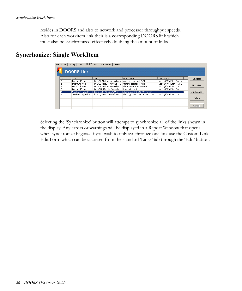resides in DOORS and also to network and processor throughput speeds. Also for each workitem link their is a corresponding DOORS link which must also be synchronized effectively doubling the amount of links.

### <span id="page-26-0"></span>**Syncrhonize: Single WorkItem**

|     | Description   History   Links | DOORS Links   Attachments   Details |                               |                       |             |
|-----|-------------------------------|-------------------------------------|-------------------------------|-----------------------|-------------|
|     | <b>DOORS Links</b>            |                                     |                               |                       |             |
| ID. | Type                          | Title                               | Description                   | Comments              | Navigate    |
| 0   | DoorsLinkType                 | ID: UC1 Module: Novembe             | new use case text 2:51        | vstfs:///WorkItemTrac |             |
|     | DoorsLinkType                 | ID: UC5 Module: Novembe             | this is a test for sectio n1  | vstfs:///WorkItemTrac |             |
| ۰   | DoorsLinkType                 | ID: UC7 Module: Novembe             | this is an inserted section   | vstfs:///WorkItemTrac | Attributes  |
| g   | DoorsLinkType                 | ID: UC11 Module: Novemb             | insert at pos 4               | vstfs:///WorkItemTrac |             |
| 14  | Workitem Hyperlink            | doors://JOHN3:36679/?ver            | doors://JOHN3:36679/?version= |                       | Synchronize |
| 5   | Workitem Hyperlink            | doors://JOHN3:36679/?ver            | doors://JOHN3:36679/?version= | vstfs:///WorkItemTrac |             |
|     |                               |                                     |                               |                       | Delete      |
|     |                               |                                     |                               |                       |             |
|     |                               |                                     |                               |                       |             |
|     |                               |                                     |                               |                       | Cancel      |
|     |                               |                                     |                               |                       |             |

Selecting the 'Synchronize' button will attempt to synchronize all of the links shown in the display. Any errors or warnings will be displayed in a Report Window that opens when synchronize begins.. If you wish to only synchronize one link use the Custom Link Edit Form which can be accessed from the standard 'Links' tab through the 'Edit' button.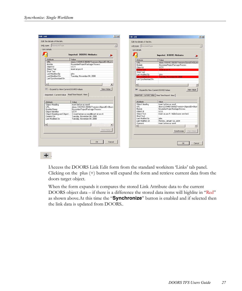| Edit the details of this link.                                                         |                                                                    |                          | Edit the details of this link. |                                                                                                        |
|----------------------------------------------------------------------------------------|--------------------------------------------------------------------|--------------------------|--------------------------------|--------------------------------------------------------------------------------------------------------|
| Link type: DoorsLinkType                                                               |                                                                    | $\overline{\mathbf{v}}$  | Link type: DoorsLinkType       |                                                                                                        |
| l ink details                                                                          |                                                                    | $-\mathsf{Link}$ details |                                |                                                                                                        |
|                                                                                        | Imported: DOORS Attributes                                         |                          |                                | Imported: DOORS Attributes                                                                             |
| Attribute                                                                              | Value                                                              |                          | Attribute                      | Value                                                                                                  |
| <b>TIBL</b>                                                                            | doors://J0HN3:36690/?version=2&prodID=0&um=                        | <b>URL</b>               |                                | doors://JOHN3:36690/?version=2&prodID=0&um=                                                            |
| Module                                                                                 | NovemberProjectPackage Process                                     | Module                   |                                | NovemberProjectPackage Process                                                                         |
| Object Id                                                                              | LIC11                                                              |                          | Object Id                      | UC11                                                                                                   |
| Object Text                                                                            | insert at pos 4                                                    |                          | <b>Object Text</b>             | insert at nos 4                                                                                        |
| Short Text                                                                             |                                                                    |                          | Short Text                     |                                                                                                        |
| Last Modified Bv                                                                       | iohn.                                                              |                          | Last Modified Bv               | iohn                                                                                                   |
| Last Modified On                                                                       | Tuesday, November 04, 2008                                         |                          | Last Modified On               | Tuesday, November 04, 2008                                                                             |
| Last Synchronized On                                                                   |                                                                    |                          | Last Synchronized On           |                                                                                                        |
| $\vert \vert$                                                                          |                                                                    | $\ddot{ }$<br>$\lvert$   |                                |                                                                                                        |
| - Expand to View Current DOORS Values<br>Imported: Current Value Real Time Report View | View Value                                                         |                          |                                | View Value<br>- Expand to View Current DOORS Values<br>Imported: Current Value   Real Time Report View |
|                                                                                        |                                                                    |                          |                                |                                                                                                        |
| <b>Attribute</b>                                                                       | Value                                                              |                          | Attribute                      | Value                                                                                                  |
| Object Heading                                                                         | insert before as new4                                              |                          | Object Heading                 | insert before as new4                                                                                  |
| HBL.                                                                                   | doors://JOHN3:36690/?version=2&prodID=0&um                         | LIRL.                    |                                | doors://JOHN3:36690/?version=28prodID=08urr                                                            |
| Module Name                                                                            | NovemberProjectPackage Process                                     | Module                   |                                | NovemberProjectPackage Process                                                                         |
| Object Identifier                                                                      | 11011                                                              |                          | Object Id                      | UC11                                                                                                   |
|                                                                                        | Object Heading and Object  2 insert before as new4tinsert at pos 4 |                          | Object Text                    | insert at pos 4 - Added some new text                                                                  |
| Created On                                                                             | Tuesday, November 04, 2008                                         |                          | Short Text                     |                                                                                                        |
| Last Modified On                                                                       | Tuesday, November 04, 2008                                         |                          | Last Modified By               | john.                                                                                                  |
|                                                                                        |                                                                    |                          | Last Modified On               | Monday, January 12, 2009                                                                               |
| $\lvert$                                                                               | $\ddot{\phantom{1}}$                                               |                          | Comment                        | insert before as new4                                                                                  |
|                                                                                        |                                                                    |                          |                                | $\blacktriangleright$                                                                                  |
|                                                                                        | View Value                                                         |                          |                                | View Value<br>Synchronize                                                                              |
|                                                                                        |                                                                    |                          |                                |                                                                                                        |

#### $+$ .

IAccess the DOORS Link Edit form from the standard workitem 'Links' tab panel. Clicking on the plus (+) button will expand the form and retrieve current data from the doors target object.

When the form expands it compares the stored Link Attribute data to the current DOORS object data – if there is a difference the stored data items will highlite in "Red" as shown above.At this time the "**Synchronize**" button is enabled and if selected then the link data is updated from DOORS..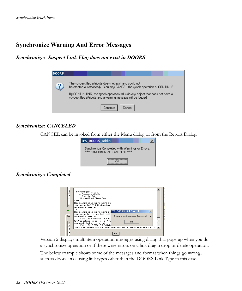### <span id="page-28-1"></span><span id="page-28-0"></span>**Synchronize Warning And Error Messages**

<span id="page-28-2"></span>*Synchronize: Suspect Link Flag does not exist in DOORS*

| DOORS |                                                                                                                                                                                                                                                                                      |
|-------|--------------------------------------------------------------------------------------------------------------------------------------------------------------------------------------------------------------------------------------------------------------------------------------|
|       | The suspect flag attribute does not exist and could not<br>be created automatically. You may CANCEL the synch operation or CONTINUE.<br>By CONTINUING, the synch operation will skip any object that does not have a<br>suspect flag attribute and a warning message will be logged. |
|       | Continue<br>Cancel                                                                                                                                                                                                                                                                   |

### <span id="page-28-3"></span>*Synchronize: CANCELED*

CANCEL can be invoked from either the Menu dialog or from the Report Dialog.



### <span id="page-28-4"></span>*Synchronize: Completed*



Version 2 displays multi item operation messages using dialog that pops up when you do a synchronize operation or if there were errors on a link drag n drop or delete operation.

The below example shows some of the messages and format when things go wrong.. such as doors links using link types other than the DOORS Link Type in this case..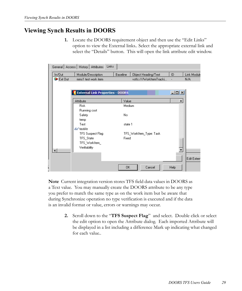### <span id="page-29-0"></span>**Viewing Synch Results in DOORS**

**1.** Locate the DOORS requirement object and then use the "Edit Links" option to view the External links.. Select the appropriate external link and select the "Details" button. This will open the link attribute edit window.

|                               | Links<br>General   Access   History   Attributes |           |                         |                  |             |
|-------------------------------|--------------------------------------------------|-----------|-------------------------|------------------|-------------|
| In/Out                        | Module/Description                               | Baseline  | Object Heading/Text     | ID               | Link Module |
| $\blacktriangleright$ Ext Out | mms1 test work item                              |           | vstfs:///WorkItemTracki |                  | N/A         |
|                               |                                                  |           |                         |                  |             |
|                               | <b>External Link Properties - DOORS</b>          |           |                         | $L = 1$          |             |
|                               | Attribute                                        | Value     |                         | $\blacktriangle$ |             |
|                               | <b>Risk</b>                                      | Medium    |                         |                  |             |
|                               | Running cost                                     |           |                         |                  |             |
|                               | Safety                                           | No.       |                         |                  |             |
|                               | temp                                             |           |                         |                  |             |
|                               | Test                                             | state 1   |                         |                  |             |
|                               | Gor testAtr                                      |           |                         |                  |             |
|                               | TFS Suspect Flag                                 |           | TFS_WorkItem_Type: Task |                  |             |
|                               | TFS_State                                        | Fixed     |                         |                  |             |
|                               | TFS_WorkItem_                                    |           |                         |                  |             |
|                               | Verifiability                                    |           |                         |                  |             |
|                               |                                                  |           |                         |                  |             |
|                               |                                                  |           |                         |                  | Edit Extern |
|                               |                                                  |           |                         |                  |             |
|                               |                                                  | <b>OK</b> | Cancel                  | Help             |             |

**Note** Current integration version stores TFS field data values in DOORS as a Text value. You may manually create the DOORS attribute to be any type you prefer to match the same type as on the work item but be aware that during Synchronize operation no type verification is executed and if the data is an invalid format or value, errors or warnings may occur.

> **2.** Scroll down to the "**TFS Suspect Flag**" and select. Double click or select the edit option to open the Attribute dialog. Each imported Attribute will be displayed in a list including a difference Mark up indicating what changed for each value..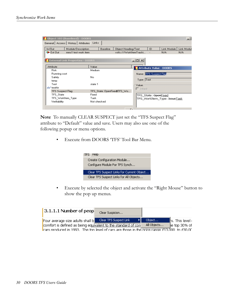|                                         |                             | Object Heading/Text     |                  | ID                     | Link Module                              | Link Modul |
|-----------------------------------------|-----------------------------|-------------------------|------------------|------------------------|------------------------------------------|------------|
| Ext Out<br>mms1 test work item          |                             | vstfs:///WorkItemTracki |                  |                        | N/A                                      | N/A        |
| <b>External Link Properties - DOORS</b> |                             |                         | $  D  \times$    |                        |                                          |            |
| Attribute                               | Value                       |                         |                  |                        | Attribute Value - DOORS                  |            |
| <b>Risk</b>                             | Medium                      |                         |                  |                        |                                          |            |
| Running cost                            |                             |                         |                  | Name: TFS Suspect Flag |                                          |            |
| Safety                                  | No                          |                         |                  |                        |                                          |            |
| temp                                    |                             |                         | Type: Text       |                        |                                          |            |
| Test                                    | state 1                     |                         | Value:           |                        |                                          |            |
| Gor testAtr                             |                             |                         | $\Gamma$ Inherit |                        |                                          |            |
| <b>TFS Suspect Flag</b>                 | TFS_State: OpenFixedITFS_Wo |                         |                  |                        |                                          |            |
|                                         | Fixed                       |                         |                  | TFS_State: OpenFixed   |                                          |            |
| TFS State                               |                             |                         |                  |                        |                                          |            |
| TFS_WorkItem_Type                       | Task                        |                         |                  |                        | TFS_WorkItem_Type: <del>IssueTa</del> sk |            |

**Note** To manually CLEAR SUSPECT just set the "TFS Suspect Flag" attribute to "Default" value and save. Users may also use one of the following popup or menu options.

• Execute from DOORS 'TFS' Tool Bar Menu.



• Execute by selected the object and activate the "Right Mouse" button to show the pop up menus.

| $ 3.1.1.1$ Number of peop                                                                                            | Clear Suspicion        |             |                      |
|----------------------------------------------------------------------------------------------------------------------|------------------------|-------------|----------------------|
| Four average size adults shall b                                                                                     | Clear TFS Suspect Link | Object      | ll's. This level i l |
| comfort is defined as being equivalent to the standard of con                                                        |                        | All Objects | $he$ top 30% of      |
| $\overline{\phantom{a}}$ cars produced in 1993. The top level of cars are those in the price rappe £13,000 to £30.00 |                        |             |                      |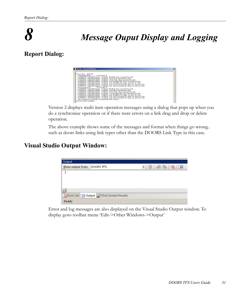

### *8 Message Ouput Display and Logging*

### <span id="page-31-0"></span>**Report Dialog:**

| <b>E</b> tfsdrs ReportDialog                                                                                                                                                                                                                                                                                                                                                                                                  | $\boldsymbol{\mathsf{x}}$ |
|-------------------------------------------------------------------------------------------------------------------------------------------------------------------------------------------------------------------------------------------------------------------------------------------------------------------------------------------------------------------------------------------------------------------------------|---------------------------|
| Processing defect4<br>Processing Link SYSTEM2 5<br>WARNING: SetLinkProperty - Property: 'Module' does not exist for Link                                                                                                                                                                                                                                                                                                      |                           |
| WARNING: SetLinkProperty - Property: 'Text' does not exist for Link<br>WARNING: SetLinkProperty - Property: 'Short Text' does not exist for Link<br>WARNING: SetLinkProperty - Property: 'Last Modified By' does not exist for Link<br>WARNING: SetLinkProperty - Property: 'Last Modified On' does not exist for Link<br>WARNING: SetLinkProperty - Property: 'Last Synchronized On' does not exist for Link                 |                           |
| WARNING: SetLinkProperty - Property: 'Last Synchronized On' does not exist for Link<br>Processing Link SYSTEM2_6<br>WARNING: SetLinkProperty - Property: 'Module' does not exist for Link<br>WARNING: SetLinkProperty - Property: 'Text' does not exist for Link                                                                                                                                                              |                           |
| WARNING: SetLinkProperty - Property: 'Short Text' does not exist for Link<br>WARNING: SetLinkProperty - Property: 'Last Modified By' does not exist for Link<br>WARNING: SetLinkProperty - Property: 'Last Modified On' does not exist for Link<br>WARNING: SetLinkProperty - Property: 'Last Synchronized On' does not exist for Link<br>WARNING: SetLinkProperty - Property: 'Last Synchronized On' does not exist for Link |                           |
| No Changes to WorkItem: Skipping DOORS Synch<br>Syncrhonize Completed                                                                                                                                                                                                                                                                                                                                                         |                           |

Version 2 displays multi item operation messages using a dialog that pops up when you do a synchronize operation or if there were errors on a link drag and drop or delete operation.

The above example shows some of the messages and format when things go wrong.. such as doors links using link types other than the DOORS Link Type in this case.

### <span id="page-31-1"></span>**Visual Studio Output Window:**

| Output                      |                                               |  |
|-----------------------------|-----------------------------------------------|--|
| Show output from: DOORS TFS |                                               |  |
|                             |                                               |  |
|                             |                                               |  |
|                             |                                               |  |
|                             |                                               |  |
|                             | Error List   3 Output   2 Find Symbol Results |  |
| Ready                       |                                               |  |

<span id="page-31-2"></span>Error and log messages are also displayed on the Visual Studio Output window. To display goto toolbar menu 'Edit->Other Windows->Output'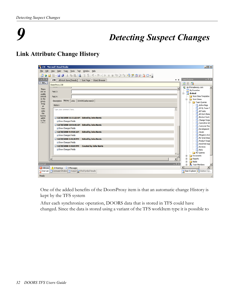### *9 Detecting Suspect Changes*

### **Link Attribute Change History**



One of the added benefits of the DoorsProxy item is that an automatic change History is kept by the TFS system

After each synchronize operation, DOORS data that is stored in TFS could have changed. Since the data is stored using a variant of the TFS workItem type it is possible to